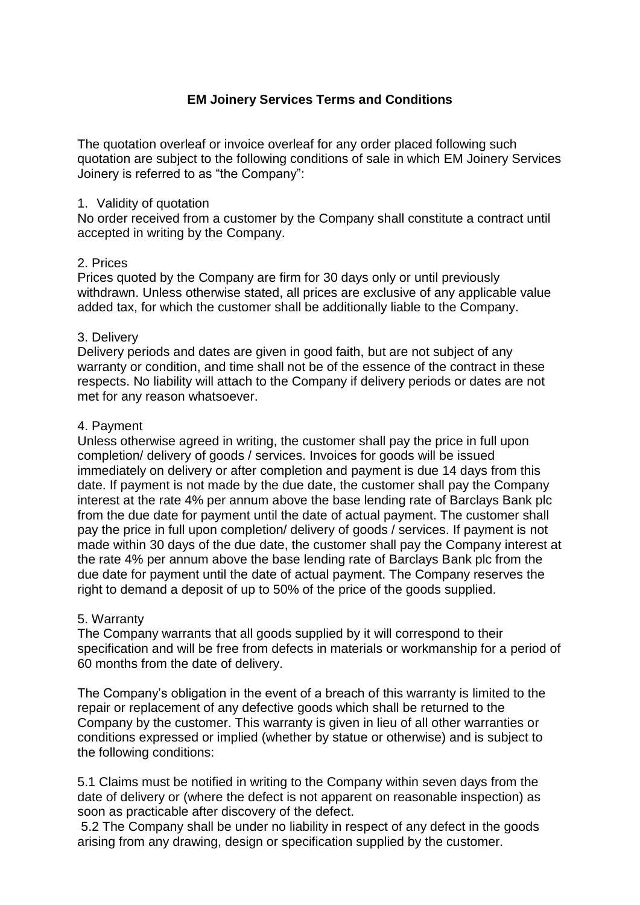# **EM Joinery Services Terms and Conditions**

The quotation overleaf or invoice overleaf for any order placed following such quotation are subject to the following conditions of sale in which EM Joinery Services Joinery is referred to as "the Company":

## 1. Validity of quotation

No order received from a customer by the Company shall constitute a contract until accepted in writing by the Company.

## 2. Prices

Prices quoted by the Company are firm for 30 days only or until previously withdrawn. Unless otherwise stated, all prices are exclusive of any applicable value added tax, for which the customer shall be additionally liable to the Company.

## 3. Delivery

Delivery periods and dates are given in good faith, but are not subject of any warranty or condition, and time shall not be of the essence of the contract in these respects. No liability will attach to the Company if delivery periods or dates are not met for any reason whatsoever.

## 4. Payment

Unless otherwise agreed in writing, the customer shall pay the price in full upon completion/ delivery of goods / services. Invoices for goods will be issued immediately on delivery or after completion and payment is due 14 days from this date. If payment is not made by the due date, the customer shall pay the Company interest at the rate 4% per annum above the base lending rate of Barclays Bank plc from the due date for payment until the date of actual payment. The customer shall pay the price in full upon completion/ delivery of goods / services. If payment is not made within 30 days of the due date, the customer shall pay the Company interest at the rate 4% per annum above the base lending rate of Barclays Bank plc from the due date for payment until the date of actual payment. The Company reserves the right to demand a deposit of up to 50% of the price of the goods supplied.

### 5. Warranty

The Company warrants that all goods supplied by it will correspond to their specification and will be free from defects in materials or workmanship for a period of 60 months from the date of delivery.

The Company's obligation in the event of a breach of this warranty is limited to the repair or replacement of any defective goods which shall be returned to the Company by the customer. This warranty is given in lieu of all other warranties or conditions expressed or implied (whether by statue or otherwise) and is subject to the following conditions:

5.1 Claims must be notified in writing to the Company within seven days from the date of delivery or (where the defect is not apparent on reasonable inspection) as soon as practicable after discovery of the defect.

5.2 The Company shall be under no liability in respect of any defect in the goods arising from any drawing, design or specification supplied by the customer.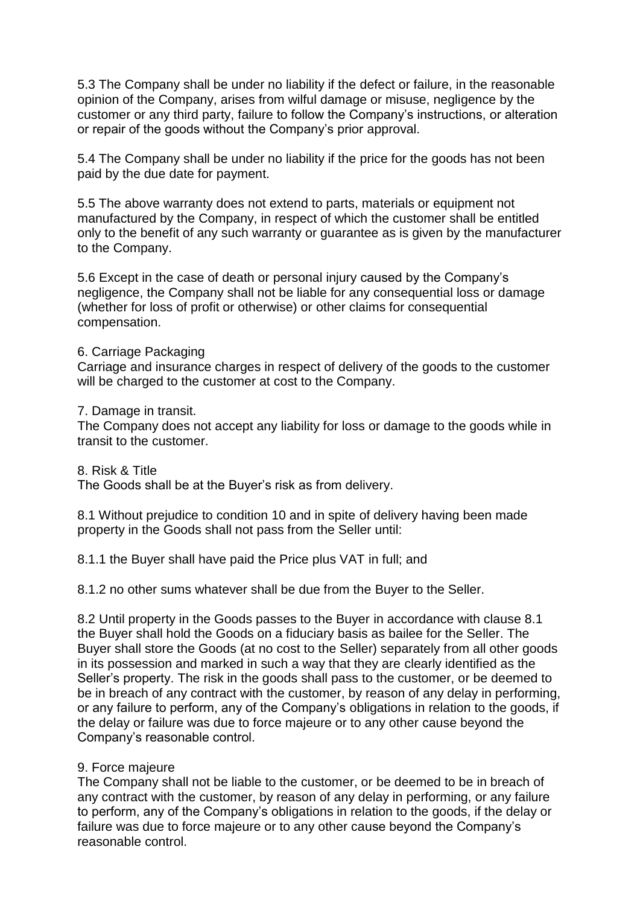5.3 The Company shall be under no liability if the defect or failure, in the reasonable opinion of the Company, arises from wilful damage or misuse, negligence by the customer or any third party, failure to follow the Company's instructions, or alteration or repair of the goods without the Company's prior approval.

5.4 The Company shall be under no liability if the price for the goods has not been paid by the due date for payment.

5.5 The above warranty does not extend to parts, materials or equipment not manufactured by the Company, in respect of which the customer shall be entitled only to the benefit of any such warranty or guarantee as is given by the manufacturer to the Company.

5.6 Except in the case of death or personal injury caused by the Company's negligence, the Company shall not be liable for any consequential loss or damage (whether for loss of profit or otherwise) or other claims for consequential compensation.

### 6. Carriage Packaging

Carriage and insurance charges in respect of delivery of the goods to the customer will be charged to the customer at cost to the Company.

#### 7. Damage in transit.

The Company does not accept any liability for loss or damage to the goods while in transit to the customer.

8. Risk & Title

The Goods shall be at the Buyer's risk as from delivery.

8.1 Without prejudice to condition 10 and in spite of delivery having been made property in the Goods shall not pass from the Seller until:

8.1.1 the Buyer shall have paid the Price plus VAT in full; and

8.1.2 no other sums whatever shall be due from the Buyer to the Seller.

8.2 Until property in the Goods passes to the Buyer in accordance with clause 8.1 the Buyer shall hold the Goods on a fiduciary basis as bailee for the Seller. The Buyer shall store the Goods (at no cost to the Seller) separately from all other goods in its possession and marked in such a way that they are clearly identified as the Seller's property. The risk in the goods shall pass to the customer, or be deemed to be in breach of any contract with the customer, by reason of any delay in performing, or any failure to perform, any of the Company's obligations in relation to the goods, if the delay or failure was due to force majeure or to any other cause beyond the Company's reasonable control.

### 9. Force majeure

The Company shall not be liable to the customer, or be deemed to be in breach of any contract with the customer, by reason of any delay in performing, or any failure to perform, any of the Company's obligations in relation to the goods, if the delay or failure was due to force majeure or to any other cause beyond the Company's reasonable control.